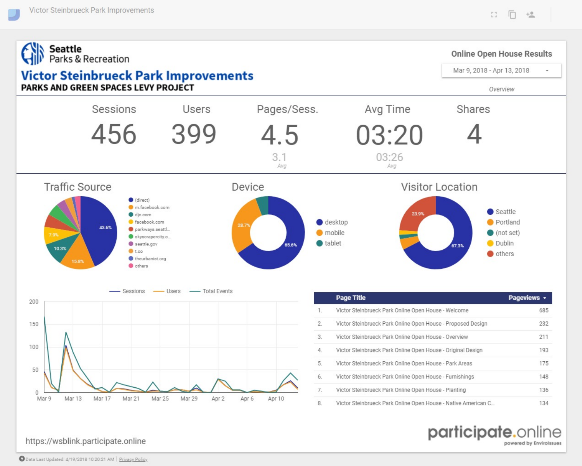powered by Envirolssues



https://wsblink.participate.online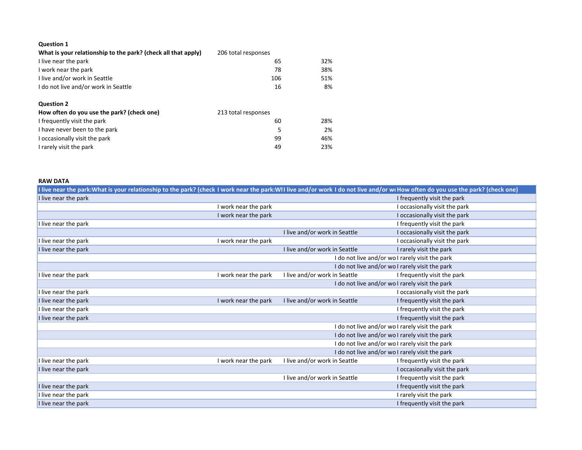## **Question 1**

| What is your relationship to the park? (check all that apply) | 206 total responses |     |
|---------------------------------------------------------------|---------------------|-----|
| I live near the park                                          | 65                  | 32% |
| I work near the park                                          | 78                  | 38% |
| I live and/or work in Seattle                                 | 106                 | 51% |
| I do not live and/or work in Seattle                          | 16                  | 8%  |
|                                                               |                     |     |
| <b>Question 2</b>                                             |                     |     |
| How often do you use the park? (check one)                    | 213 total responses |     |
| I frequently visit the park                                   | 60                  | 28% |
| I have never been to the park                                 | 5                   | 2%  |
| I occasionally visit the park                                 | 99                  | 46% |
| I rarely visit the park                                       | 49                  | 23% |

## **RAW DATA**

| I live near the park:What is your relationship to the park? (check I work near the park:WII live and/or work I do not live and/or w(How often do you use the park? (check one) |                                                 |                               |                                                 |
|--------------------------------------------------------------------------------------------------------------------------------------------------------------------------------|-------------------------------------------------|-------------------------------|-------------------------------------------------|
| I live near the park                                                                                                                                                           |                                                 |                               | I frequently visit the park                     |
|                                                                                                                                                                                | I work near the park                            |                               | I occasionally visit the park                   |
|                                                                                                                                                                                | I work near the park                            |                               | I occasionally visit the park                   |
| I live near the park                                                                                                                                                           |                                                 |                               | I frequently visit the park                     |
|                                                                                                                                                                                |                                                 | I live and/or work in Seattle | I occasionally visit the park                   |
| I live near the park                                                                                                                                                           | I work near the park                            |                               | I occasionally visit the park                   |
| I live near the park                                                                                                                                                           |                                                 | I live and/or work in Seattle | I rarely visit the park                         |
|                                                                                                                                                                                |                                                 |                               | I do not live and/or wo I rarely visit the park |
|                                                                                                                                                                                |                                                 |                               | I do not live and/or wo I rarely visit the park |
| I live near the park                                                                                                                                                           | I work near the park                            | I live and/or work in Seattle | I frequently visit the park                     |
|                                                                                                                                                                                | I do not live and/or wo I rarely visit the park |                               |                                                 |
| I live near the park                                                                                                                                                           |                                                 |                               | I occasionally visit the park                   |
| I live near the park                                                                                                                                                           | I work near the park                            | I live and/or work in Seattle | I frequently visit the park                     |
| I live near the park                                                                                                                                                           |                                                 |                               | I frequently visit the park                     |
| I live near the park                                                                                                                                                           |                                                 |                               | I frequently visit the park                     |
|                                                                                                                                                                                |                                                 |                               | I do not live and/or wo I rarely visit the park |
| I do not live and/or wo I rarely visit the park                                                                                                                                |                                                 |                               |                                                 |
| I do not live and/or wo I rarely visit the park                                                                                                                                |                                                 |                               |                                                 |
|                                                                                                                                                                                |                                                 |                               | I do not live and/or wo I rarely visit the park |
| I live near the park                                                                                                                                                           | I work near the park                            | I live and/or work in Seattle | I frequently visit the park                     |
| I live near the park                                                                                                                                                           |                                                 |                               | I occasionally visit the park                   |
|                                                                                                                                                                                |                                                 | I live and/or work in Seattle | I frequently visit the park                     |
| I live near the park                                                                                                                                                           |                                                 |                               | I frequently visit the park                     |
| I live near the park                                                                                                                                                           |                                                 |                               | I rarely visit the park                         |
| I live near the park                                                                                                                                                           |                                                 |                               | I frequently visit the park                     |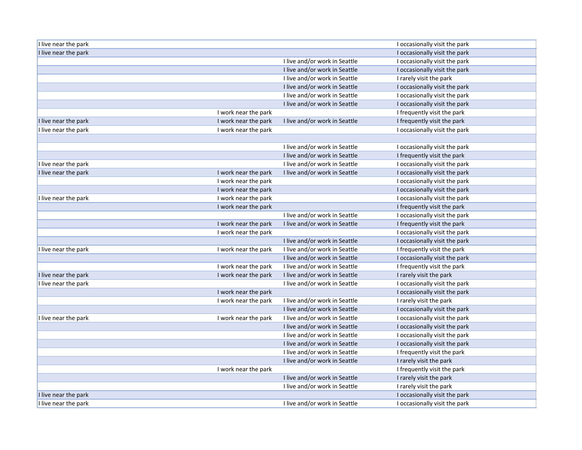| I live near the park |                      |                               | I occasionally visit the park |
|----------------------|----------------------|-------------------------------|-------------------------------|
| I live near the park |                      |                               | I occasionally visit the park |
|                      |                      | I live and/or work in Seattle | I occasionally visit the park |
|                      |                      | I live and/or work in Seattle | I occasionally visit the park |
|                      |                      | I live and/or work in Seattle | I rarely visit the park       |
|                      |                      | I live and/or work in Seattle | I occasionally visit the park |
|                      |                      | I live and/or work in Seattle | I occasionally visit the park |
|                      |                      | I live and/or work in Seattle | I occasionally visit the park |
|                      | I work near the park |                               | I frequently visit the park   |
| I live near the park | I work near the park | I live and/or work in Seattle | I frequently visit the park   |
| I live near the park | I work near the park |                               | I occasionally visit the park |
|                      |                      |                               |                               |
|                      |                      | I live and/or work in Seattle | I occasionally visit the park |
|                      |                      | I live and/or work in Seattle | I frequently visit the park   |
| I live near the park |                      | I live and/or work in Seattle | I occasionally visit the park |
| I live near the park | I work near the park | I live and/or work in Seattle | I occasionally visit the park |
|                      | I work near the park |                               | I occasionally visit the park |
|                      | I work near the park |                               | I occasionally visit the park |
| I live near the park | I work near the park |                               | I occasionally visit the park |
|                      | I work near the park |                               | I frequently visit the park   |
|                      |                      | I live and/or work in Seattle | I occasionally visit the park |
|                      | I work near the park | I live and/or work in Seattle | I frequently visit the park   |
|                      | I work near the park |                               | I occasionally visit the park |
|                      |                      | I live and/or work in Seattle | I occasionally visit the park |
| I live near the park | I work near the park | I live and/or work in Seattle | I frequently visit the park   |
|                      |                      | I live and/or work in Seattle | I occasionally visit the park |
|                      | I work near the park | I live and/or work in Seattle | I frequently visit the park   |
| I live near the park | I work near the park | I live and/or work in Seattle | I rarely visit the park       |
| I live near the park |                      | I live and/or work in Seattle | I occasionally visit the park |
|                      | I work near the park |                               | I occasionally visit the park |
|                      | I work near the park | I live and/or work in Seattle | I rarely visit the park       |
|                      |                      | I live and/or work in Seattle | I occasionally visit the park |
| I live near the park | I work near the park | I live and/or work in Seattle | I occasionally visit the park |
|                      |                      | I live and/or work in Seattle | I occasionally visit the park |
|                      |                      | I live and/or work in Seattle | I occasionally visit the park |
|                      |                      | I live and/or work in Seattle | I occasionally visit the park |
|                      |                      | I live and/or work in Seattle | I frequently visit the park   |
|                      |                      | I live and/or work in Seattle | I rarely visit the park       |
|                      | I work near the park |                               | I frequently visit the park   |
|                      |                      | I live and/or work in Seattle | I rarely visit the park       |
|                      |                      | I live and/or work in Seattle | I rarely visit the park       |
| I live near the park |                      |                               | I occasionally visit the park |
| I live near the park |                      | I live and/or work in Seattle | I occasionally visit the park |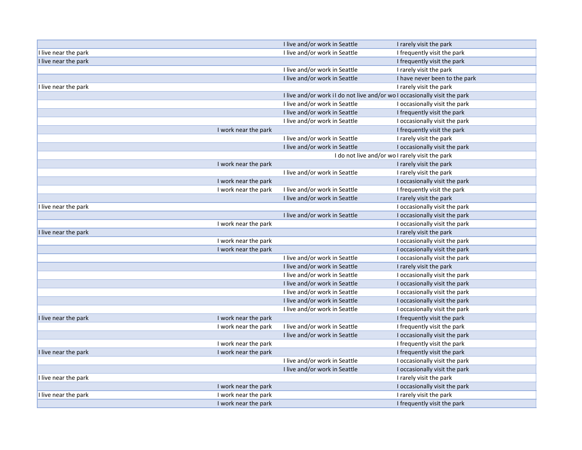|                                              | I live and/or work in Seattle | I rarely visit the park                                                   |
|----------------------------------------------|-------------------------------|---------------------------------------------------------------------------|
| I live near the park                         | I live and/or work in Seattle | I frequently visit the park                                               |
| I live near the park                         |                               | I frequently visit the park                                               |
|                                              | I live and/or work in Seattle | I rarely visit the park                                                   |
|                                              | I live and/or work in Seattle | I have never been to the park                                             |
| I live near the park                         |                               | I rarely visit the park                                                   |
|                                              |                               | I live and/or work iI do not live and/or wo I occasionally visit the park |
|                                              | I live and/or work in Seattle | I occasionally visit the park                                             |
|                                              | I live and/or work in Seattle | I frequently visit the park                                               |
|                                              | I live and/or work in Seattle | I occasionally visit the park                                             |
| I work near the park                         |                               | I frequently visit the park                                               |
|                                              | I live and/or work in Seattle | I rarely visit the park                                                   |
|                                              | I live and/or work in Seattle | I occasionally visit the park                                             |
|                                              |                               | I do not live and/or wo I rarely visit the park                           |
| I work near the park                         |                               | I rarely visit the park                                                   |
|                                              | I live and/or work in Seattle | I rarely visit the park                                                   |
| I work near the park                         |                               | I occasionally visit the park                                             |
| I work near the park                         | I live and/or work in Seattle | I frequently visit the park                                               |
|                                              | I live and/or work in Seattle | I rarely visit the park                                                   |
| I live near the park                         |                               | I occasionally visit the park                                             |
|                                              | I live and/or work in Seattle | I occasionally visit the park                                             |
| I work near the park                         |                               | I occasionally visit the park                                             |
| I live near the park                         |                               | I rarely visit the park                                                   |
| I work near the park                         |                               | I occasionally visit the park                                             |
| I work near the park                         |                               | I occasionally visit the park                                             |
|                                              | I live and/or work in Seattle | I occasionally visit the park                                             |
|                                              | I live and/or work in Seattle | I rarely visit the park                                                   |
|                                              | I live and/or work in Seattle | I occasionally visit the park                                             |
|                                              | I live and/or work in Seattle | I occasionally visit the park                                             |
|                                              | I live and/or work in Seattle | I occasionally visit the park                                             |
|                                              | I live and/or work in Seattle | I occasionally visit the park                                             |
|                                              | I live and/or work in Seattle | I occasionally visit the park                                             |
| I work near the park<br>I live near the park |                               | I frequently visit the park                                               |
| I work near the park                         | I live and/or work in Seattle | I frequently visit the park                                               |
|                                              | I live and/or work in Seattle | I occasionally visit the park                                             |
| I work near the park                         |                               | I frequently visit the park                                               |
| I work near the park<br>I live near the park |                               | I frequently visit the park                                               |
|                                              | I live and/or work in Seattle | I occasionally visit the park                                             |
|                                              | I live and/or work in Seattle | I occasionally visit the park                                             |
| I live near the park                         |                               | I rarely visit the park                                                   |
| I work near the park                         |                               | I occasionally visit the park                                             |
| I work near the park<br>I live near the park |                               | I rarely visit the park                                                   |
| I work near the park                         |                               | I frequently visit the park                                               |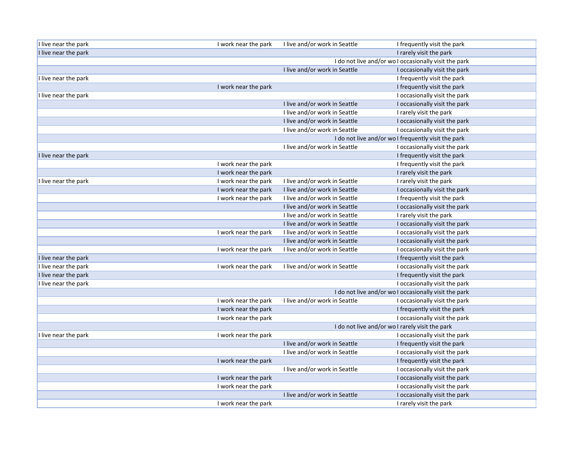| I live near the park | I work near the park | I live and/or work in Seattle                   | I frequently visit the park                           |
|----------------------|----------------------|-------------------------------------------------|-------------------------------------------------------|
| I live near the park |                      |                                                 | I rarely visit the park                               |
|                      |                      |                                                 | I do not live and/or wo I occasionally visit the park |
|                      |                      | I live and/or work in Seattle                   | I occasionally visit the park                         |
| I live near the park |                      |                                                 | I frequently visit the park                           |
|                      | I work near the park |                                                 | I frequently visit the park                           |
| I live near the park |                      |                                                 | I occasionally visit the park                         |
|                      |                      | I live and/or work in Seattle                   | I occasionally visit the park                         |
|                      |                      | I live and/or work in Seattle                   | I rarely visit the park                               |
|                      |                      | I live and/or work in Seattle                   | I occasionally visit the park                         |
|                      |                      | I live and/or work in Seattle                   | I occasionally visit the park                         |
|                      |                      |                                                 | I do not live and/or wo I frequently visit the park   |
|                      |                      | I live and/or work in Seattle                   | I occasionally visit the park                         |
| I live near the park |                      |                                                 | I frequently visit the park                           |
|                      | I work near the park |                                                 | I frequently visit the park                           |
|                      | I work near the park |                                                 | I rarely visit the park                               |
| I live near the park | I work near the park | I live and/or work in Seattle                   | I rarely visit the park                               |
|                      | I work near the park | I live and/or work in Seattle                   | I occasionally visit the park                         |
|                      | I work near the park | I live and/or work in Seattle                   | I frequently visit the park                           |
|                      |                      | I live and/or work in Seattle                   | I occasionally visit the park                         |
|                      |                      | I live and/or work in Seattle                   | I rarely visit the park                               |
|                      |                      | I live and/or work in Seattle                   | I occasionally visit the park                         |
|                      | I work near the park | I live and/or work in Seattle                   | I occasionally visit the park                         |
|                      |                      | I live and/or work in Seattle                   | I occasionally visit the park                         |
|                      | I work near the park | I live and/or work in Seattle                   | I occasionally visit the park                         |
| I live near the park |                      |                                                 | I frequently visit the park                           |
| I live near the park | I work near the park | I live and/or work in Seattle                   | I occasionally visit the park                         |
| I live near the park |                      |                                                 | I frequently visit the park                           |
| I live near the park |                      |                                                 | I occasionally visit the park                         |
|                      |                      |                                                 | I do not live and/or wo I occasionally visit the park |
|                      | I work near the park | I live and/or work in Seattle                   | I occasionally visit the park                         |
|                      | I work near the park |                                                 | I frequently visit the park                           |
|                      | I work near the park |                                                 | I occasionally visit the park                         |
|                      |                      | I do not live and/or wo I rarely visit the park |                                                       |
| I live near the park | I work near the park |                                                 | I occasionally visit the park                         |
|                      |                      | I live and/or work in Seattle                   | I frequently visit the park                           |
|                      |                      | I live and/or work in Seattle                   | I occasionally visit the park                         |
|                      | I work near the park |                                                 | I frequently visit the park                           |
|                      |                      | I live and/or work in Seattle                   | I occasionally visit the park                         |
|                      | I work near the park |                                                 | I occasionally visit the park                         |
|                      | I work near the park |                                                 | I occasionally visit the park                         |
|                      |                      | I live and/or work in Seattle                   | I occasionally visit the park                         |
|                      | I work near the park |                                                 | I rarely visit the park                               |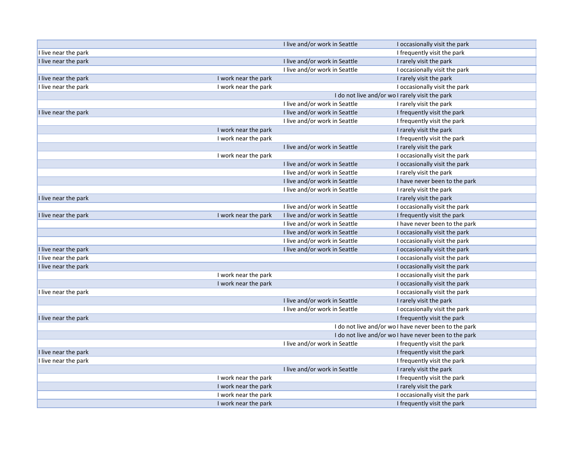|                      |                      | I live and/or work in Seattle                   | I occasionally visit the park                         |
|----------------------|----------------------|-------------------------------------------------|-------------------------------------------------------|
| I live near the park |                      |                                                 | I frequently visit the park                           |
| I live near the park |                      | I live and/or work in Seattle                   | I rarely visit the park                               |
|                      |                      | I live and/or work in Seattle                   | I occasionally visit the park                         |
| I live near the park | I work near the park |                                                 | I rarely visit the park                               |
| I live near the park | I work near the park |                                                 | I occasionally visit the park                         |
|                      |                      | I do not live and/or wo I rarely visit the park |                                                       |
|                      |                      | I live and/or work in Seattle                   | I rarely visit the park                               |
| I live near the park |                      | I live and/or work in Seattle                   | I frequently visit the park                           |
|                      |                      | I live and/or work in Seattle                   | I frequently visit the park                           |
|                      | I work near the park |                                                 | I rarely visit the park                               |
|                      | I work near the park |                                                 | I frequently visit the park                           |
|                      |                      | I live and/or work in Seattle                   | I rarely visit the park                               |
|                      | I work near the park |                                                 | I occasionally visit the park                         |
|                      |                      | I live and/or work in Seattle                   | I occasionally visit the park                         |
|                      |                      | I live and/or work in Seattle                   | I rarely visit the park                               |
|                      |                      | I live and/or work in Seattle                   | I have never been to the park                         |
|                      |                      | I live and/or work in Seattle                   | I rarely visit the park                               |
| I live near the park |                      |                                                 | I rarely visit the park                               |
|                      |                      | I live and/or work in Seattle                   | I occasionally visit the park                         |
| I live near the park | I work near the park | I live and/or work in Seattle                   | I frequently visit the park                           |
|                      |                      | I live and/or work in Seattle                   | I have never been to the park                         |
|                      |                      | I live and/or work in Seattle                   | I occasionally visit the park                         |
|                      |                      | I live and/or work in Seattle                   | I occasionally visit the park                         |
| I live near the park |                      | I live and/or work in Seattle                   | I occasionally visit the park                         |
| I live near the park |                      |                                                 | I occasionally visit the park                         |
| I live near the park |                      |                                                 | I occasionally visit the park                         |
|                      | I work near the park |                                                 | I occasionally visit the park                         |
|                      | I work near the park |                                                 | I occasionally visit the park                         |
| I live near the park |                      |                                                 | I occasionally visit the park                         |
|                      |                      | I live and/or work in Seattle                   | I rarely visit the park                               |
|                      |                      | I live and/or work in Seattle                   | I occasionally visit the park                         |
| I live near the park |                      |                                                 | I frequently visit the park                           |
|                      |                      |                                                 | I do not live and/or wo I have never been to the park |
|                      |                      |                                                 | I do not live and/or wo I have never been to the park |
|                      |                      | I live and/or work in Seattle                   | I frequently visit the park                           |
| I live near the park |                      |                                                 | I frequently visit the park                           |
| I live near the park |                      |                                                 | I frequently visit the park                           |
|                      |                      | I live and/or work in Seattle                   | I rarely visit the park                               |
|                      | I work near the park |                                                 | I frequently visit the park                           |
|                      | I work near the park |                                                 | I rarely visit the park                               |
|                      | I work near the park |                                                 | I occasionally visit the park                         |
|                      | I work near the park |                                                 | I frequently visit the park                           |